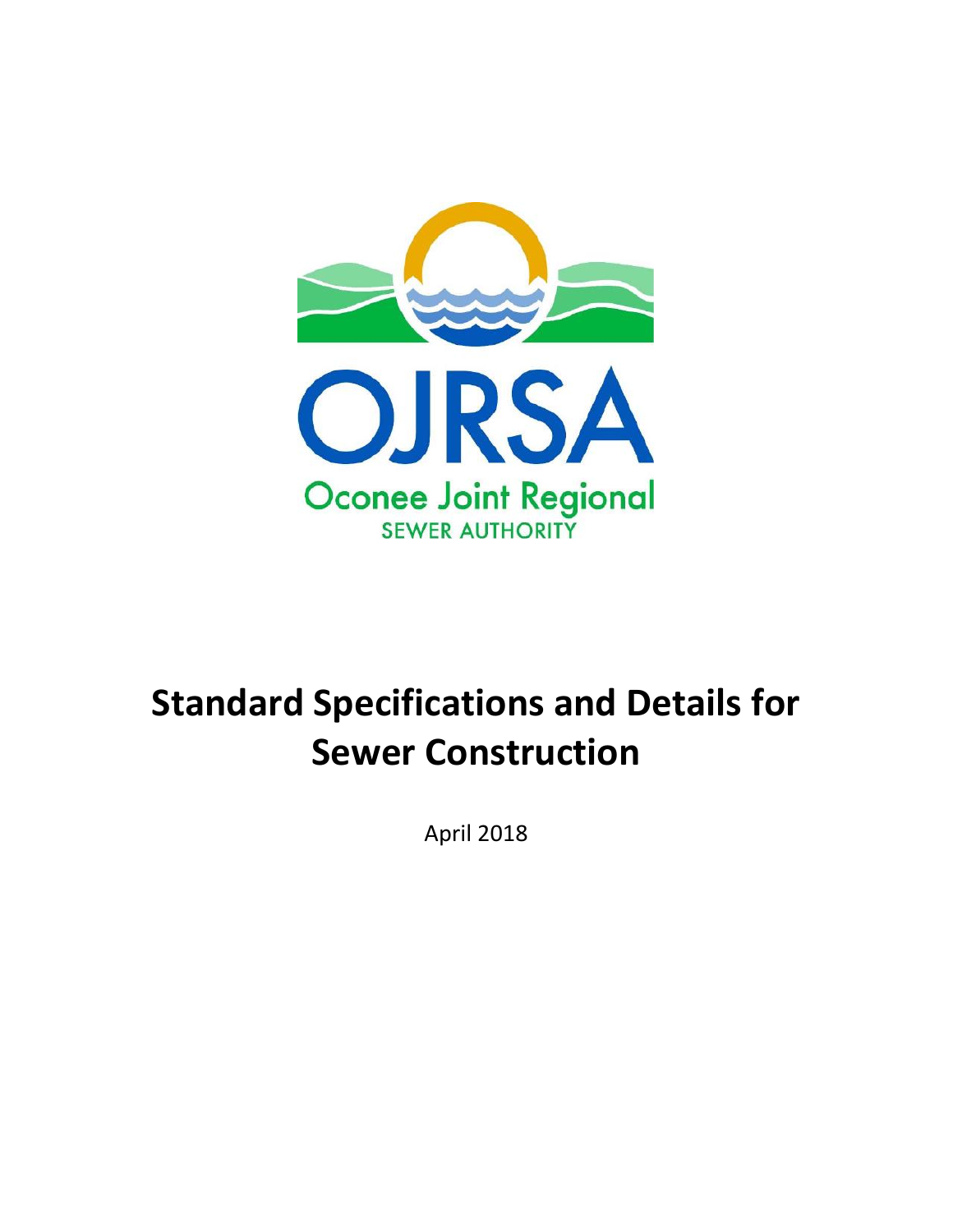

# **Standard Specifications and Details for Sewer Construction**

April 2018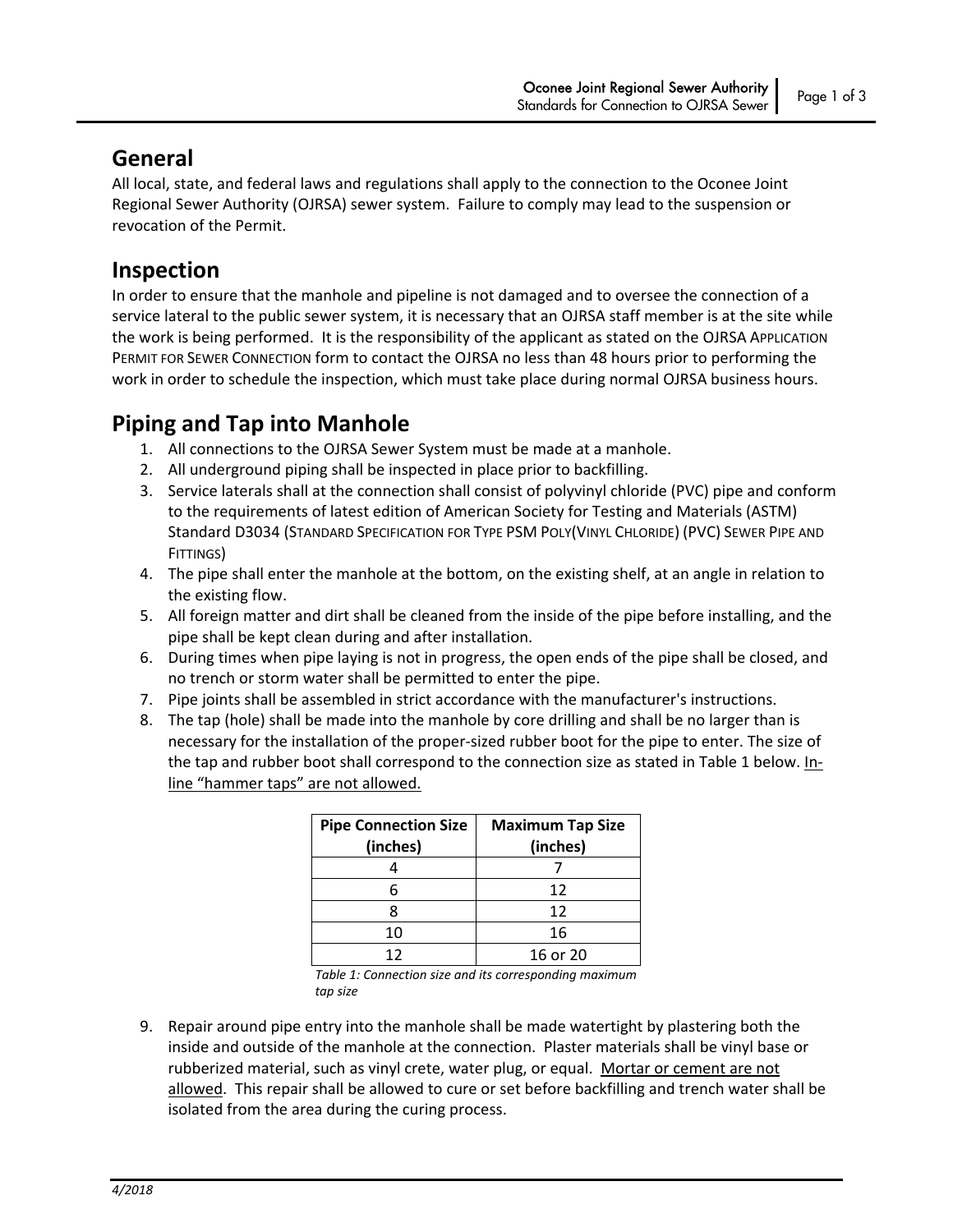### **General**

All local, state, and federal laws and regulations shall apply to the connection to the Oconee Joint Regional Sewer Authority (OJRSA) sewer system. Failure to comply may lead to the suspension or revocation of the Permit.

## **Inspection**

In order to ensure that the manhole and pipeline is not damaged and to oversee the connection of a service lateral to the public sewer system, it is necessary that an OJRSA staff member is at the site while the work is being performed. It is the responsibility of the applicant as stated on the OJRSA APPLICATION PERMIT FOR SEWER CONNECTION form to contact the OJRSA no less than 48 hours prior to performing the work in order to schedule the inspection, which must take place during normal OJRSA business hours.

# **Piping and Tap into Manhole**

- 1. All connections to the OJRSA Sewer System must be made at a manhole.
- 2. All underground piping shall be inspected in place prior to backfilling.
- 3. Service laterals shall at the connection shall consist of polyvinyl chloride (PVC) pipe and conform to the requirements of latest edition of American Society for Testing and Materials (ASTM) Standard D3034 (STANDARD SPECIFICATION FOR TYPE PSM POLY(VINYL CHLORIDE) (PVC) SEWER PIPE AND FITTINGS)
- 4. The pipe shall enter the manhole at the bottom, on the existing shelf, at an angle in relation to the existing flow.
- 5. All foreign matter and dirt shall be cleaned from the inside of the pipe before installing, and the pipe shall be kept clean during and after installation.
- 6. During times when pipe laying is not in progress, the open ends of the pipe shall be closed, and no trench or storm water shall be permitted to enter the pipe.
- 7. Pipe joints shall be assembled in strict accordance with the manufacturer's instructions.
- 8. The tap (hole) shall be made into the manhole by core drilling and shall be no larger than is necessary for the installation of the proper‐sized rubber boot for the pipe to enter. The size of the tap and rubber boot shall correspond to the connection size as stated in Table 1 below. Inline "hammer taps" are not allowed.

| <b>Pipe Connection Size</b><br>(inches) | <b>Maximum Tap Size</b><br>(inches) |
|-----------------------------------------|-------------------------------------|
|                                         |                                     |
| 6                                       | 12                                  |
|                                         | 12                                  |
| 10                                      | 16                                  |
| 12                                      | 16 or 20                            |

*Table 1: Connection size and its corresponding maximum tap size*

9. Repair around pipe entry into the manhole shall be made watertight by plastering both the inside and outside of the manhole at the connection. Plaster materials shall be vinyl base or rubberized material, such as vinyl crete, water plug, or equal. Mortar or cement are not allowed. This repair shall be allowed to cure or set before backfilling and trench water shall be isolated from the area during the curing process.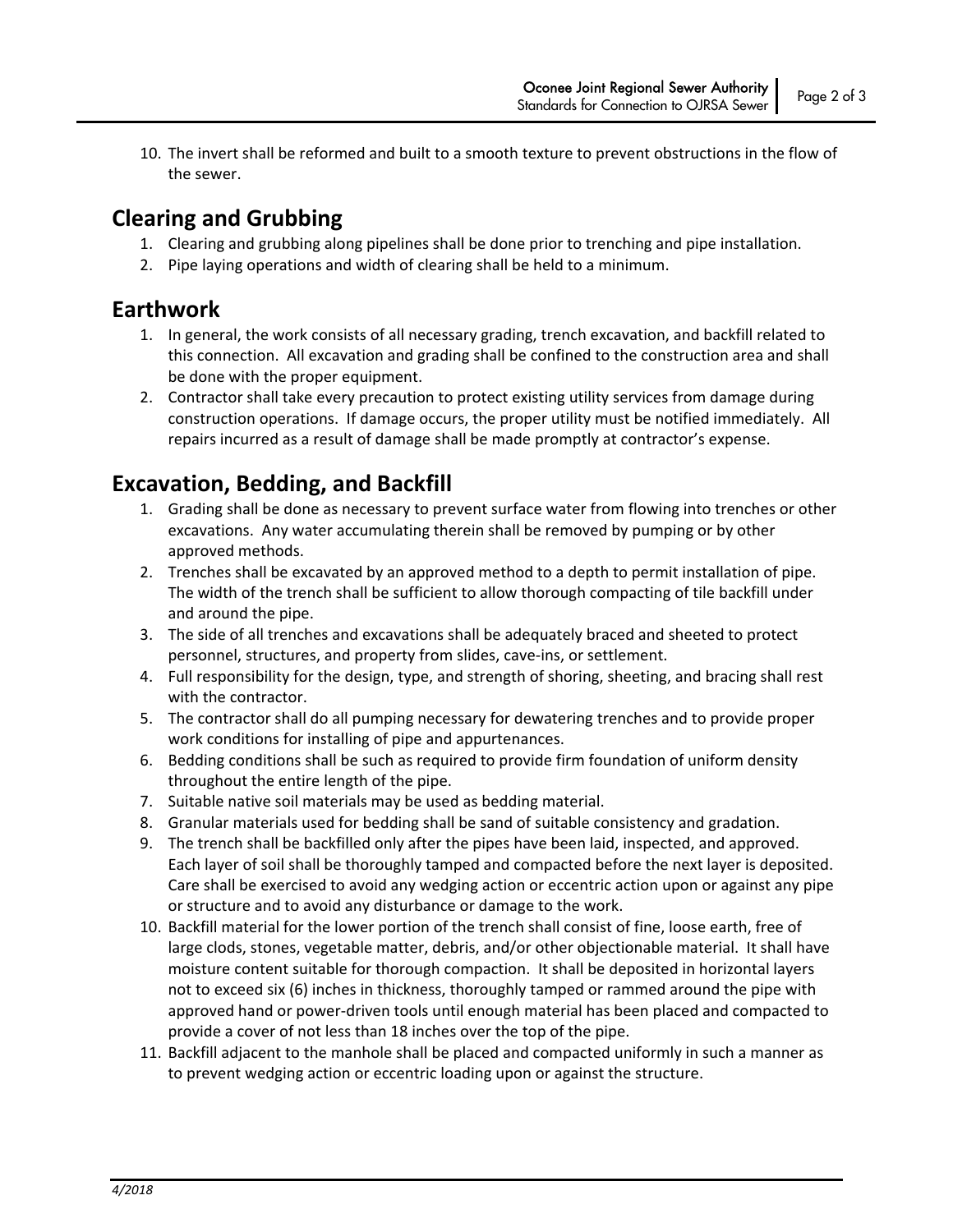10. The invert shall be reformed and built to a smooth texture to prevent obstructions in the flow of the sewer.

#### **Clearing and Grubbing**

- 1. Clearing and grubbing along pipelines shall be done prior to trenching and pipe installation.
- 2. Pipe laying operations and width of clearing shall be held to a minimum.

#### **Earthwork**

- 1. In general, the work consists of all necessary grading, trench excavation, and backfill related to this connection. All excavation and grading shall be confined to the construction area and shall be done with the proper equipment.
- 2. Contractor shall take every precaution to protect existing utility services from damage during construction operations. If damage occurs, the proper utility must be notified immediately. All repairs incurred as a result of damage shall be made promptly at contractor's expense.

## **Excavation, Bedding, and Backfill**

- 1. Grading shall be done as necessary to prevent surface water from flowing into trenches or other excavations. Any water accumulating therein shall be removed by pumping or by other approved methods.
- 2. Trenches shall be excavated by an approved method to a depth to permit installation of pipe. The width of the trench shall be sufficient to allow thorough compacting of tile backfill under and around the pipe.
- 3. The side of all trenches and excavations shall be adequately braced and sheeted to protect personnel, structures, and property from slides, cave‐ins, or settlement.
- 4. Full responsibility for the design, type, and strength of shoring, sheeting, and bracing shall rest with the contractor.
- 5. The contractor shall do all pumping necessary for dewatering trenches and to provide proper work conditions for installing of pipe and appurtenances.
- 6. Bedding conditions shall be such as required to provide firm foundation of uniform density throughout the entire length of the pipe.
- 7. Suitable native soil materials may be used as bedding material.
- 8. Granular materials used for bedding shall be sand of suitable consistency and gradation.
- 9. The trench shall be backfilled only after the pipes have been laid, inspected, and approved. Each layer of soil shall be thoroughly tamped and compacted before the next layer is deposited. Care shall be exercised to avoid any wedging action or eccentric action upon or against any pipe or structure and to avoid any disturbance or damage to the work.
- 10. Backfill material for the lower portion of the trench shall consist of fine, loose earth, free of large clods, stones, vegetable matter, debris, and/or other objectionable material. It shall have moisture content suitable for thorough compaction. It shall be deposited in horizontal layers not to exceed six (6) inches in thickness, thoroughly tamped or rammed around the pipe with approved hand or power‐driven tools until enough material has been placed and compacted to provide a cover of not less than 18 inches over the top of the pipe.
- 11. Backfill adjacent to the manhole shall be placed and compacted uniformly in such a manner as to prevent wedging action or eccentric loading upon or against the structure.